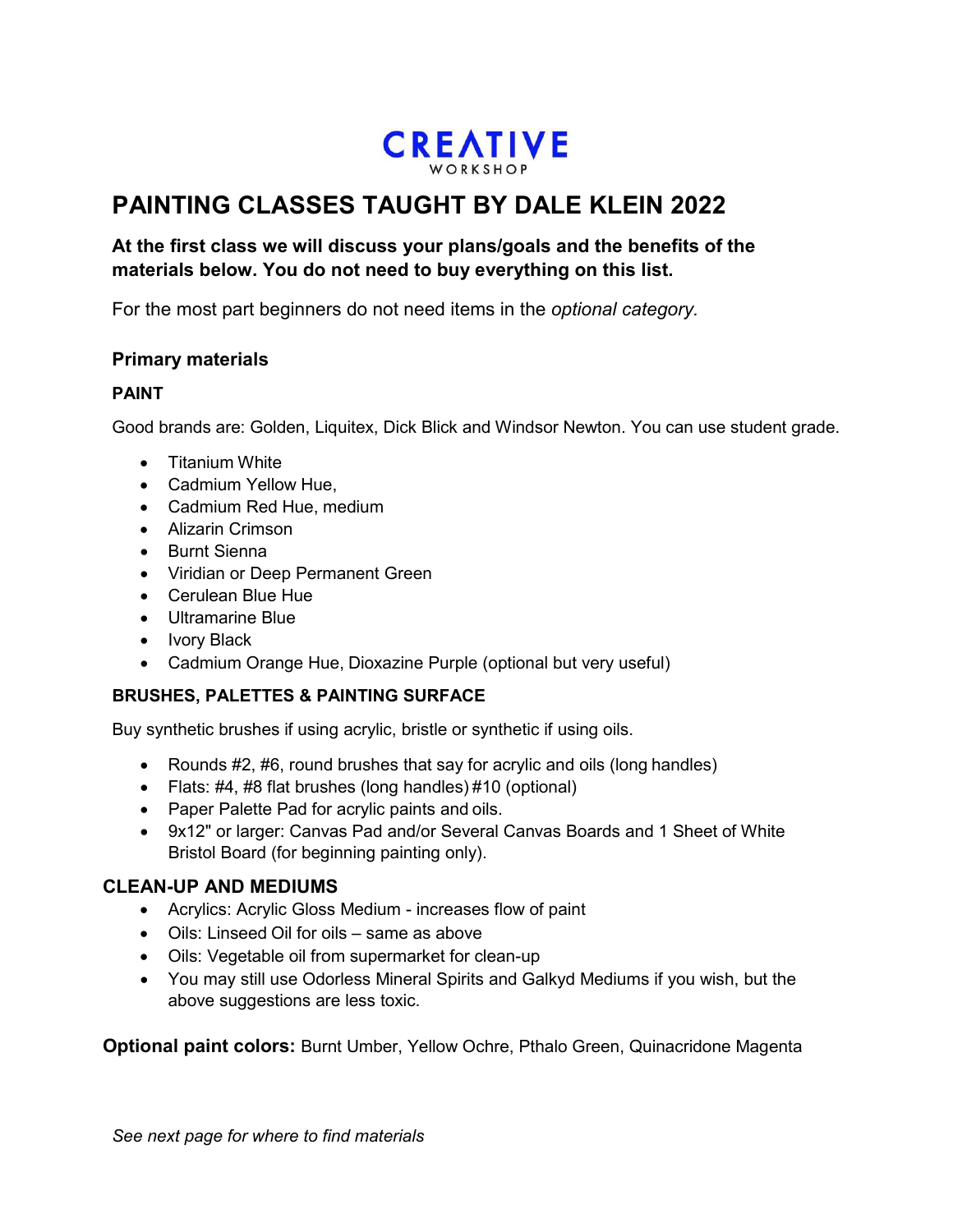

# **CLASSES TAUGHT BY**

## **&<17+,\$,\$1&&21( 2022**

**At the first class we will discuss your plans/goals and the benefits of the materials below. You do not need to buy everything on this list.**

:LQVRU1HWRQEHSDLQWVULPDUUHGEOHHOORLWHDQGEODENHVHFDQEHERWO

LQGLYLGDOORULQD**RWWHGWUDYHONLWIURPPDRQDQGRWPDQWEHVHWIURPLFNBW#KGR** 

QRWHWWHSDQVHWVLQEHWHTDOLWLMQWRRGIRURUS(**(ass)/pictu**red in blue box)

atercolor aper ad anson or rc es x or lar er Canson XL pads are fine. If using Arches, specify coldpress.

rushes, pointed rounds, small, medium, and large. Sizes, dotorologiest if using a kit.

Other materials helpful:

asking or painter s tape

Plastic palette with deep wells, mi ing area and lid.

asonite oard to tape paper to.

**Pencils** 

neaded raser

icron lack marker, size

**Scissors** 

Plastic Water Container

Plastic Water Spritzer (you can get at dollar store or any plant dept. has them

Painting cloth, like an old tea towel or paper towels.





pan set not ok

tube set ok

*See next page for where to find materials*



tube set ok